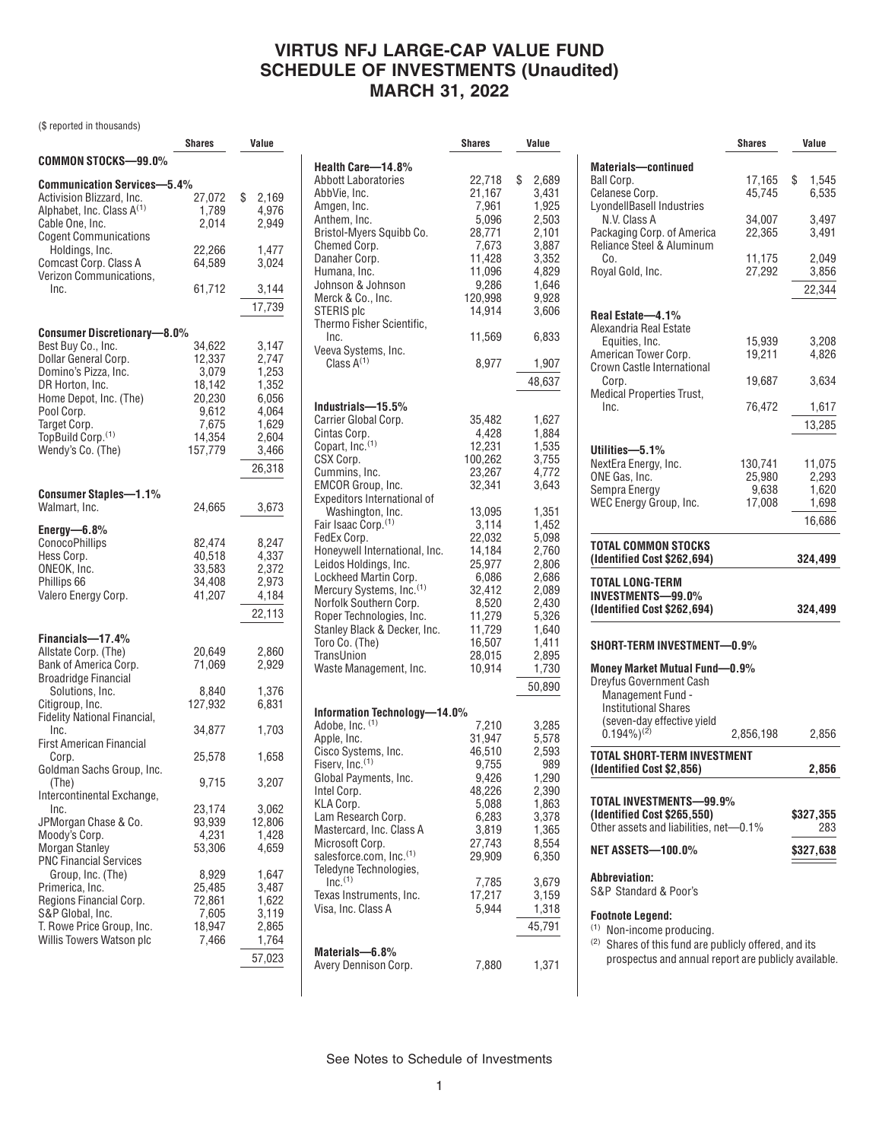### **VIRTUS NFJ LARGE-CAP VALUE FUND SCHEDULE OF INVESTMENTS (Unaudited) MARCH 31, 2022**

(\$ reported in thousands)

|                                       | Shares           | Value          |
|---------------------------------------|------------------|----------------|
| COMMON STOCKS-99.0%                   |                  |                |
| <b>Communication Services-5.4%</b>    |                  |                |
| Activision Blizzard, Inc.             | 27,072           | \$<br>2,169    |
| Alphabet, Inc. Class A <sup>(1)</sup> | 1,789            | 4,976          |
| Cable One, Inc.                       | 2,014            | 2,949          |
| <b>Cogent Communications</b>          |                  |                |
| Holdings, Inc.                        | 22,266           | 1,477          |
| Comcast Corp. Class A                 | 64,589           | 3,024          |
| Verizon Communications,               |                  |                |
| Inc.                                  | 61,712           | 3,144          |
|                                       |                  | 17,739         |
|                                       |                  |                |
| <b>Consumer Discretionary-8.0%</b>    |                  |                |
| Best Buy Co., Inc.                    | 34,622           | 3,147          |
| Dollar General Corp.                  | 12,337           | 2,747          |
| Domino's Pizza, Inc.                  | 3,079            | 1,253          |
| DR Horton, Inc.                       | 18,142           | 1,352          |
| Home Depot, Inc. (The)                | 20,230           | 6,056          |
| Pool Corp.                            | 9,612            | 4,064          |
| Target Corp.<br>TopBuild Corp.(1)     | 7,675<br>14,354  | 1,629<br>2,604 |
| Wendy's Co. (The)                     | 157,779          | 3.466          |
|                                       |                  |                |
|                                       |                  | 26,318         |
| <b>Consumer Staples-1.1%</b>          |                  |                |
| Walmart, Inc.                         | 24,665           | 3,673          |
|                                       |                  |                |
| Energy-6.8%                           |                  |                |
| ConocoPhillips                        | 82,474           | 8,247          |
| Hess Corp.<br>ONEOK, Inc.             | 40,518<br>33,583 | 4,337<br>2,372 |
| Phillips 66                           | 34,408           | 2,973          |
| Valero Energy Corp.                   | 41,207           | 4,184          |
|                                       |                  |                |
|                                       |                  | 22,113         |
| Financials-17.4%                      |                  |                |
| Allstate Corp. (The)                  | 20,649           | 2,860          |
| Bank of America Corp.                 | 71,069           | 2,929          |
| <b>Broadridge Financial</b>           |                  |                |
| Solutions, Inc.                       | 8,840            | 1,376          |
| Citigroup, Inc.                       | 127,932          | 6,831          |
| <b>Fidelity National Financial,</b>   |                  |                |
| Inc.                                  | 34,877           | 1,703          |
| <b>First American Financial</b>       |                  |                |
| Corp.<br>Goldman Sachs Group, Inc.    | 25,578           | 1,658          |
| (The)                                 | 9,715            | 3,207          |
| Intercontinental Exchange,            |                  |                |
| Inc.                                  | 23,174           | 3,062          |
| JPMorgan Chase & Co.                  | 93,939           | 12,806         |
| Moody's Corp.                         | 4,231            | 1,428          |
| <b>Morgan Stanley</b>                 | 53,306           | 4,659          |
| <b>PNC Financial Services</b>         |                  |                |
| Group, Inc. (The)                     | 8,929            | 1,647          |
| Primerica, Inc.                       | 25,485           | 3,487          |
| Regions Financial Corp.               | 72,861           | 1,622          |
| S&P Global, Inc.                      | 7,605            | 3,119          |
| T. Rowe Price Group, Inc.             | 18,947           | 2,865          |
| Willis Towers Watson plc              | 7,466            | 1,764          |
|                                       |                  | 57,023         |

|                                      | Shares           | Value       |
|--------------------------------------|------------------|-------------|
| Health Care-14.8%                    |                  |             |
| Abbott Laboratories                  | 22,718           | \$<br>2,689 |
| AbbVie, Inc.                         | 21,167           | 3,431       |
| Amgen, Inc.                          | 7,961            | 1,925       |
| Anthem, Inc.                         | 5,096            | 2,503       |
| Bristol-Myers Squibb Co.             | 28,771           | 2,101       |
| Chemed Corp.                         | 7,673            | 3,887       |
| Danaher Corp.                        | 11,428           | 3,352       |
| Humana, Inc.                         | 11,096           | 4,829       |
| Johnson & Johnson                    | 9,286            | 1,646       |
| Merck & Co., Inc.                    | 120,998          | 9,928       |
| STERIS plc                           | 14,914           | 3,606       |
| Thermo Fisher Scientific,            |                  |             |
| Inc.                                 | 11,569           | 6,833       |
| Veeva Systems, Inc.                  |                  |             |
| Class $A^{(1)}$                      | 8,977            | 1,907       |
|                                      |                  | 48,637      |
|                                      |                  |             |
| Industrials—15.5%                    |                  |             |
| Carrier Global Corp.                 | 35,482           | 1,627       |
| Cintas Corp.                         | 4,428            | 1,884       |
| Copart, Inc. <sup>(1)</sup>          | 12,231           | 1,535       |
| CSX Corp.                            | 100,262          | 3,755       |
| Cummins, Inc.                        | 23,267           | 4,772       |
| EMCOR Group, Inc.                    | 32,341           | 3.643       |
| Expeditors International of          |                  |             |
| Washington, Inc.                     | 13,095           | 1,351       |
| Fair Isaac Corp. <sup>(1)</sup>      | 3,114            | 1,452       |
| FedEx Corp.                          | 22,032           | 5,098       |
| Honeywell International, Inc.        | 14,184           | 2,760       |
| Leidos Holdings, Inc.                | 25,977           | 2,806       |
| Lockheed Martin Corp.                | 6,086            | 2,686       |
| Mercury Systems, Inc. <sup>(1)</sup> | 32,412           | 2,089       |
| Norfolk Southern Corp.               | 8,520            | 2,430       |
| Roper Technologies, Inc.             | 11,279           | 5,326       |
| Stanley Black & Decker, Inc.         | 11,729           | 1,640       |
| Toro Co. (The)                       | 16,507           | 1,411       |
| TransUnion                           | 28,015<br>10,914 | 2,895       |
| Waste Management, Inc.               |                  | 1,730       |
|                                      |                  | 50,890      |
| Information Technology-14.0%         |                  |             |
| Adobe, Inc. (1)                      | 7,210            | 3,285       |
| Apple, Inc.                          | 31,947           | 5,578       |
| Cisco Systems, Inc.                  | 46,510           | 2,593       |
| Fiserv, Inc. <sup>(1)</sup>          | 9,755            | 989         |
| Global Payments, Inc.                | 9,426            | 1,290       |
| Intel Corp.                          | 48,226           | 2,390       |
| KLA Corp.                            | 5,088            | 1,863       |
| Lam Research Corp.                   | 6,283            | 3,378       |
| Mastercard, Inc. Class A             | 3,819            | 1,365       |
| Microsoft Corp.                      | 27,743           | 8,554       |
| salesforce.com, Inc.(1)              | 29,909           | 6,350       |
| Teledyne Technologies,               |                  |             |
| $Inc.$ <sup>(1)</sup>                | 7,785            | 3,679       |
| Texas Instruments, Inc.              | 17,217           | 3,159       |
| Visa, Inc. Class A                   | 5,944            | 1,318       |
|                                      |                  | 45,791      |
|                                      |                  |             |
| Materials-6.8%                       |                  |             |
| Avery Dennison Corp.                 | 7,880            | 1,371       |

|                                                                                                                                   | <b>Shares</b>              | Value                                           |
|-----------------------------------------------------------------------------------------------------------------------------------|----------------------------|-------------------------------------------------|
| <b>Materials-continued</b><br>Ball Corp.<br>Celanese Corp.                                                                        | 17,165<br>45,745           | \$<br>1,545<br>6,535                            |
| LyondellBasell Industries<br>N.V. Class A<br>Packaging Corp. of America                                                           | 34,007<br>22,365           | 3,497<br>3.491                                  |
| Reliance Steel & Aluminum<br>Co.<br>Royal Gold, Inc.                                                                              | 11,175<br>27,292           | 2,049<br>3,856                                  |
|                                                                                                                                   |                            | 22,344                                          |
| Real Estate-4.1%                                                                                                                  |                            |                                                 |
| Alexandria Real Estate<br>Equities, Inc.<br>American Tower Corp.                                                                  | 15,939<br>19,211           | 3,208<br>4,826                                  |
| Crown Castle International<br>Corp.<br><b>Medical Properties Trust,</b>                                                           | 19,687                     | 3,634                                           |
| Inc.                                                                                                                              | 76,472                     | 1,617                                           |
|                                                                                                                                   |                            | 13,285                                          |
| Utilities-5.1%<br>NextEra Energy, Inc.<br>ONE Gas, Inc.                                                                           | 130.741<br>25,980<br>9,638 | 11,075<br>2,293<br>1,620<br>1,698               |
|                                                                                                                                   | 17,008                     |                                                 |
| Sempra Energy<br>WEC Eneray Group, Inc.<br>TOTAL COMMON STOCKS                                                                    |                            |                                                 |
| (Identified Cost \$262,694)                                                                                                       |                            | 16,686<br>324,499                               |
| TOTAL LONG-TERM<br><b>INVESTMENTS-99.0%</b><br>(Identified Cost \$262,694)                                                        |                            |                                                 |
| SHORT-TERM INVESTMENT-0.9%                                                                                                        |                            | 324,499                                         |
| <b>Money Market Mutual Fund-0.9%</b><br><b>Dreyfus Government Cash</b><br><b>Management Fund -</b><br><b>Institutional Shares</b> |                            |                                                 |
| (seven-day effective yield<br>$(0.194\%)^{(2)}$                                                                                   | 2,856,198                  |                                                 |
| TOTAL SHORT-TERM INVESTMENT<br>(Identified Cost \$2,856)                                                                          |                            |                                                 |
| TOTAL INVESTMENTS-99.9%<br>(Identified Cost \$265,550)                                                                            |                            |                                                 |
| Other assets and liabilities, net-0.1%<br><b>NET ASSETS-100.0%</b>                                                                |                            | 2,856<br>2,856<br>\$327,355<br>283<br>\$327,638 |
| Abbreviation:<br>S&P Standard & Poor's                                                                                            |                            |                                                 |

<sup>(2)</sup> Shares of this fund are publicly offered, and its prospectus and annual report are publicly available.

See Notes to Schedule of Investments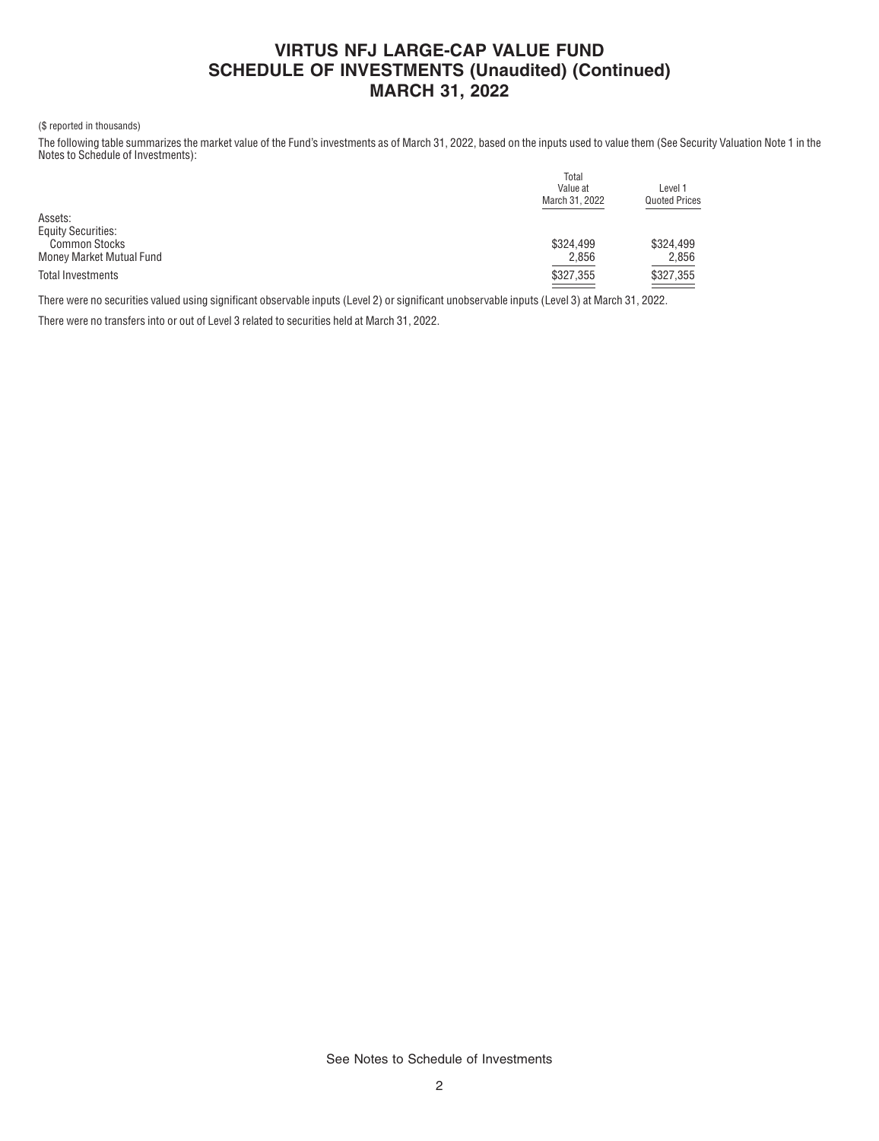# **VIRTUS NFJ LARGE-CAP VALUE FUND SCHEDULE OF INVESTMENTS (Unaudited) (Continued) MARCH 31, 2022**

#### (\$ reported in thousands)

The following table summarizes the market value of the Fund's investments as of March 31, 2022, based on the inputs used to value them (See Security Valuation Note 1 in the Notes to Schedule of Investments):

|                           | Total          |                      |  |  |
|---------------------------|----------------|----------------------|--|--|
|                           | Value at       | Level 1              |  |  |
|                           | March 31, 2022 | <b>Quoted Prices</b> |  |  |
| Assets:                   |                |                      |  |  |
| <b>Equity Securities:</b> |                |                      |  |  |
| <b>Common Stocks</b>      | \$324.499      | \$324.499            |  |  |
| Money Market Mutual Fund  | 2,856          | 2,856                |  |  |
| Total Investments         | \$327,355      | \$327,355            |  |  |
|                           |                |                      |  |  |

There were no securities valued using significant observable inputs (Level 2) or significant unobservable inputs (Level 3) at March 31, 2022.

There were no transfers into or out of Level 3 related to securities held at March 31, 2022.

See Notes to Schedule of Investments